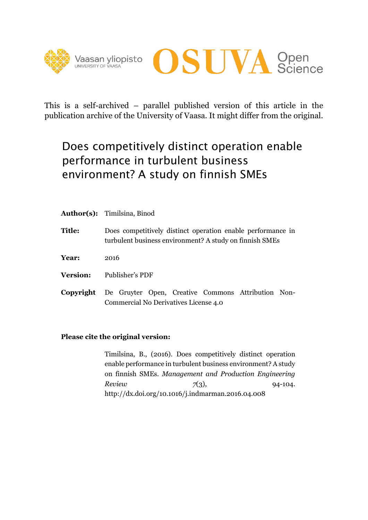



This is a self-archived – parallel published version of this article in the publication archive of the University of Vaasa. It might differ from the original.

# Does competitively distinct operation enable performance in turbulent business environment? A study on finnish SMEs

|                 | <b>Author(s):</b> Timilsina, Binod                                                                                     |  |  |  |  |  |  |  |
|-----------------|------------------------------------------------------------------------------------------------------------------------|--|--|--|--|--|--|--|
| <b>Title:</b>   | Does competitively distinct operation enable performance in<br>turbulent business environment? A study on finnish SMEs |  |  |  |  |  |  |  |
| Year:           | 2016                                                                                                                   |  |  |  |  |  |  |  |
| <b>Version:</b> | Publisher's PDF                                                                                                        |  |  |  |  |  |  |  |
| Copyright       | De Gruyter Open, Creative Commons Attribution Non-<br>Commercial No Derivatives License 4.0                            |  |  |  |  |  |  |  |

# **Please cite the original version:**

Timilsina, B., (2016). Does competitively distinct operation enable performance in turbulent business environment? A study on finnish SMEs. *Management and Production Engineering Review*  $\pi$ (3), 94-104. http://dx.doi.org/10.1016/j.indmarman.2016.04.008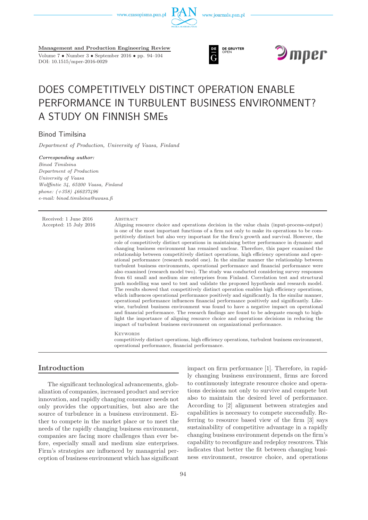www.czasopisma.pan.pl





Volume 7 • Number 3 • September 2016 • pp. 94–104 DOI: 10.1515/mper-2016-0029





# DOES COMPETITIVELY DISTINCT OPERATION ENABLE PERFORMANCE IN TURBULENT BUSINESS ENVIRONMENT? A STUDY ON FINNISH SMEs

# Binod Timilsina

*Department of Production, University of Vaasa, Finland*

*Corresponding author: Binod Timilsina Department of Production University of Vaasa Wolffintie 34, 65200 Vaasa, Finland phone: (+358) 466237496 e-mail: binod.timilsina@uwasa.fi*

Received: 1 June 2016 ABSTRACT

Accepted: 15 July 2016 Aligning resource choice and operations decision in the value chain (input-process-output) is one of the most important functions of a firm not only to make its operations to be competitively distinct but also very important for the firm's growth and survival. However, the role of competitively distinct operations in maintaining better performance in dynamic and changing business environment has remained unclear. Therefore, this paper examined the relationship between competitively distinct operations, high efficiency operations and operational performance (research model one). In the similar manner the relationship between turbulent business environments, operational performance and financial performance were also examined (research model two). The study was conducted considering survey responses from 61 small and medium size enterprises from Finland. Correlation test and structural path modelling was used to test and validate the proposed hypothesis and research model. The results showed that competitively distinct operation enables high efficiency operations, which influences operational performance positively and significantly. In the similar manner, operational performance influences financial performance positively and significantly. Likewise, turbulent business environment was found to have a negative impact on operational and financial performance. The research findings are found to be adequate enough to highlight the importance of aligning resource choice and operations decisions in reducing the impact of turbulent business environment on organizational performance.

**KEYWORDS** 

competitively distinct operations, high efficiency operations, turbulent business environment, operational performance, financial performance.

# **Introduction**

The significant technological advancements, globalization of companies, increased product and service innovation, and rapidly changing consumer needs not only provides the opportunities, but also are the source of turbulence in a business environment. Either to compete in the market place or to meet the needs of the rapidly changing business environment, companies are facing more challenges than ever before, especially small and medium size enterprises. Firm's strategies are influenced by managerial perception of business environment which has significant

impact on firm performance [1]. Therefore, in rapidly changing business environment, firms are forced to continuously integrate resource choice and operations decisions not only to survive and compete but also to maintain the desired level of performance. According to [2] alignment between strategies and capabilities is necessary to compete successfully. Referring to resource based view of the firm [3] says sustainability of competitive advantage in a rapidly changing business environment depends on the firm's capability to reconfigure and redeploy resources. This indicates that better the fit between changing business environment, resource choice, and operations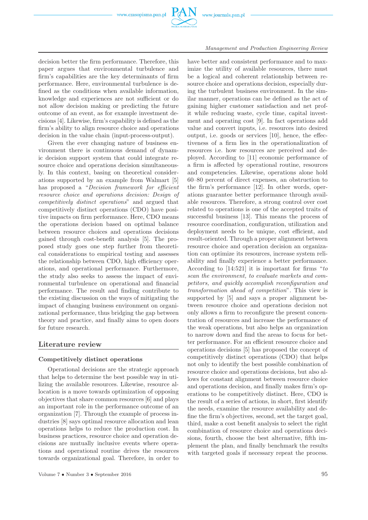

decision better the firm performance. Therefore, this paper argues that environmental turbulence and firm's capabilities are the key determinants of firm performance. Here, environmental turbulence is defined as the conditions when available information, knowledge and experiences are not sufficient or do not allow decision making or predicting the future outcome of an event, as for example investment decisions [4]. Likewise, firm's capability is defined as the firm's ability to align resource choice and operations decision in the value chain (input-process-output).

Given the ever changing nature of business environment there is continuous demand of dynamic decision support system that could integrate resource choice and operations decision simultaneously. In this context, basing on theoretical considerations supported by an example from Walmart [5] has proposed a "*Decision framework for efficient resource choice and operations decision: Design of competitively distinct operations*" and argued that competitively distinct operations (CDO) have positive impacts on firm performance. Here, CDO means the operations decision based on optimal balance between resource choices and operations decisions gained through cost-benefit analysis [5]. The proposed study goes one step further from theoretical considerations to empirical testing and assesses the relationship between CDO, high efficiency operations, and operational performance. Furthermore, the study also seeks to assess the impact of environmental turbulence on operational and financial performance. The result and finding contribute to the existing discussion on the ways of mitigating the impact of changing business environment on organizational performance, thus bridging the gap between theory and practice, and finally aims to open doors for future research.

# **Literature review**

#### **Competitively distinct operations**

Operational decisions are the strategic approach that helps to determine the best possible way in utilizing the available resources. Likewise, resource allocation is a move towards optimization of opposing objectives that share common resources [6] and plays an important role in the performance outcome of an organization [7]. Through the example of process industries [8] says optimal resource allocation and lean operations helps to reduce the production cost. In business practices, resource choice and operation decisions are mutually inclusive events where operations and operational routine drives the resources towards organizational goal. Therefore, in order to

have better and consistent performance and to maximize the utility of available resources, there must be a logical and coherent relationship between resource choice and operations decision, especially during the turbulent business environment. In the similar manner, operations can be defined as the act of gaining higher customer satisfaction and net profit while reducing waste, cycle time, capital investment and operating cost [9]. In fact operations add value and convert inputs, i.e. resources into desired output, i.e. goods or services [10], hence, the effectiveness of a firm lies in the operationalization of resources i.e. how resources are perceived and deployed. According to [11] economic performance of a firm is affected by operational routine, resources and competencies. Likewise, operations alone hold 60–80 percent of direct expenses, an obstruction to the firm's performance [12]. In other words, operations guarantee better performance through available resources. Therefore, a strong control over cost related to operations is one of the accepted traits of successful business [13]. This means the process of resource coordination, configuration, utilization and deployment needs to be unique, cost efficient, and result-oriented. Through a proper alignment between resource choice and operation decision an organization can optimize its resources, increase system reliability and finally experience a better performance. According to [14:521] it is important for firms "*to scan the environment, to evaluate markets and competitors, and quickly accomplish reconfiguration and transformation ahead of competition*". This view is supported by [5] and says a proper alignment between resource choice and operations decision not only allows a firm to reconfigure the present concentration of resources and increase the performance of the weak operations, but also helps an organization to narrow down and find the areas to focus for better performance. For an efficient resource choice and operations decisions [5] has proposed the concept of competitively distinct operations (CDO) that helps not only to identify the best possible combination of resource choice and operations decisions, but also allows for constant alignment between resource choice and operations decision, and finally makes firm's operations to be competitively distinct. Here, CDO is the result of a series of actions, in short, first identify the needs, examine the resource availability and define the firm's objectives, second, set the target goal, third, make a cost benefit analysis to select the right combination of resource choice and operations decisions, fourth, choose the best alternative, fifth implement the plan, and finally benchmark the results with targeted goals if necessary repeat the process.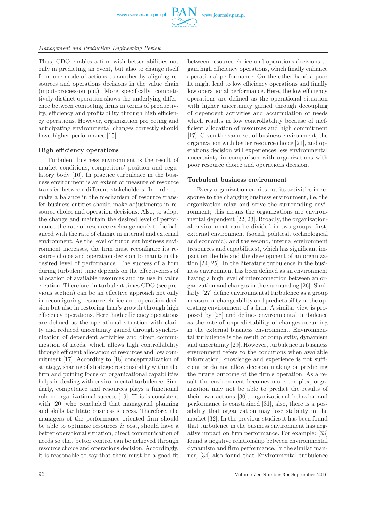

Thus, CDO enables a firm with better abilities not only in predicting an event, but also to change itself from one mode of actions to another by aligning resources and operations decisions in the value chain (input-process-output). More specifically, competitively distinct operation shows the underlying difference between competing firms in terms of productivity, efficiency and profitability through high efficiency operations. However, organization projecting and anticipating environmental changes correctly should have higher performance [15].

#### **High efficiency operations**

Turbulent business environment is the result of market conditions, competitors' position and regulatory body [16]. In practice turbulence in the business environment is an extent or measure of resource transfer between different stakeholders. In order to make a balance in the mechanism of resource transfer business entities should make adjustments in resource choice and operation decisions. Also, to adopt the change and maintain the desired level of performance the rate of resource exchange needs to be balanced with the rate of change in internal and external environment. As the level of turbulent business environment increases, the firm must reconfigure its resource choice and operation decision to maintain the desired level of performance. The success of a firm during turbulent time depends on the effectiveness of allocation of available resources and its use in value creation. Therefore, in turbulent times CDO (see previous section) can be an effective approach not only in reconfiguring resource choice and operation decision but also in restoring firm's growth through high efficiency operations. Here, high efficiency operations are defined as the operational situation with clarity and reduced uncertainty gained through synchronization of dependent activities and direct communication of needs, which allows high controllability through efficient allocation of resources and low commitment [17]. According to [18] conceptualization of strategy, sharing of strategic responsibility within the firm and putting focus on organizational capabilities helps in dealing with environmental turbulence. Similarly, competence and resources plays a functional role in organizational success [19]. This is consistent with [20] who concluded that managerial planning and skills facilitate business success. Therefore, the managers of the performance oriented firm should be able to optimize resources  $\&$  cost, should have a better operational situation, direct communication of needs so that better control can be achieved through resource choice and operations decision. Accordingly, it is reasonable to say that there must be a good fit

between resource choice and operations decisions to gain high efficiency operations, which finally enhance operational performance. On the other hand a poor fit might lead to low efficiency operations and finally low operational performance. Here, the low efficiency operations are defined as the operational situation with higher uncertainty gained through decoupling of dependent activities and accumulation of needs which results in low controllability because of inefficient allocation of resources and high commitment [17]. Given the same set of business environment, the organization with better resource choice [21], and operations decision will experiences less environmental uncertainty in comparison with organizations with poor resource choice and operations decision.

# **Turbulent business environment**

Every organization carries out its activities in response to the changing business environment, i.e. the organization relay and serve the surrounding environment; this means the organizations are environmental dependent [22, 23]. Broadly, the organizational environment can be divided in two groups: first, external environment (social, political, technological and economic), and the second, internal environment (resources and capabilities), which has significant impact on the life and the development of an organization [24, 25]. In the literature turbulence in the business environment has been defined as an environment having a high level of interconnection between an organization and changes in the surrounding [26]. Similarly, [27] define environmental turbulence as a group measure of changeability and predictability of the operating environment of a firm. A similar view is proposed by [28] and defines environmental turbulence as the rate of unpredictability of changes occurring in the external business environment. Environmental turbulence is the result of complexity, dynamism and uncertainty [29]. However, turbulence in business environment refers to the conditions when available information, knowledge and experience is not sufficient or do not allow decision making or predicting the future outcome of the firm's operation. As a result the environment becomes more complex, organization may not be able to predict the results of their own actions [30]; organizational behavior and performance is constrained [31], also, there is a possibility that organization may lose stability in the market [32]. In the previous studies it has been found that turbulence in the business environment has negative impact on firm performance. For example: [33] found a negative relationship between environmental dynamism and firm performance. In the similar manner, [34] also found that Environmental turbulence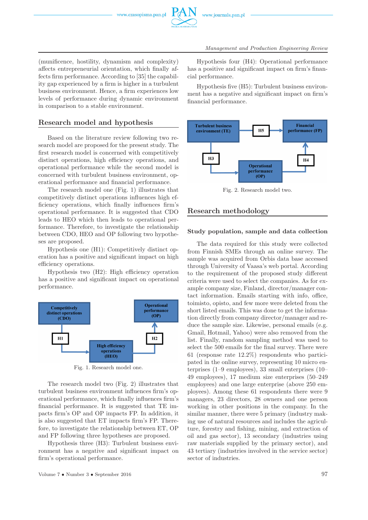(munificence, hostility, dynamism and complexity) affects entrepreneurial orientation, which finally affects firm performance. According to [35] the capability gap experienced by a firm is higher in a turbulent business environment. Hence, a firm experiences low levels of performance during dynamic environment in comparison to a stable environment.

# **Research model and hypothesis**

Based on the literature review following two research model are proposed for the present study. The first research model is concerned with competitively distinct operations, high efficiency operations, and operational performance while the second model is concerned with turbulent business environment, operational performance and financial performance.

The research model one (Fig. 1) illustrates that competitively distinct operations influences high efficiency operations, which finally influences firm's operational performance. It is suggested that CDO leads to HEO which then leads to operational performance. Therefore, to investigate the relationship between CDO, HEO and OP following two hypotheses are proposed.

Hypothesis one (H1): Competitively distinct operation has a positive and significant impact on high efficiency operations.

Hypothesis two (H2): High efficiency operation has a positive and significant impact on operational performance.



Fig. 1. Research model one.

The research model two (Fig. 2) illustrates that turbulent business environment influences firm's operational performance, which finally influences firm's financial performance. It is suggested that TE impacts firm's OP and OP impacts FP. In addition, it is also suggested that ET impacts firm's FP. Therefore, to investigate the relationship between ET, OP and FP following three hypotheses are proposed.

Hypothesis three (H3): Turbulent business environment has a negative and significant impact on firm's operational performance.

Volume 7 • Number 3 • September 2016 97

Hypothesis four (H4): Operational performance has a positive and significant impact on firm's financial performance.

Hypothesis five (H5): Turbulent business environment has a negative and significant impact on firm's financial performance.



Fig. 2. Research model two.

#### **Research methodology**

#### **Study population, sample and data collection**

The data required for this study were collected from Finnish SMEs through an online survey. The sample was acquired from Orbis data base accessed through University of Vaasa's web portal. According to the requirement of the proposed study different criteria were used to select the companies. As for example company size, Finland, director/manager contact information. Emails starting with info, office, toimisto, opisto, and few more were deleted from the short listed emails. This was done to get the information directly from company director/manager and reduce the sample size. Likewise, personal emails (e.g. Gmail, Hotmail, Yahoo) were also removed from the list. Finally, random sampling method was used to select the 500 emails for the final survey. There were 61 (response rate 12.2%) respondents who participated in the online survey, representing 10 micro enterprises (1–9 employees), 33 small enterprises (10– 49 employees), 17 medium size enterprises (50–249 employees) and one large enterprise (above 250 employees). Among these 61 respondents there were 9 managers, 23 directors, 28 owners and one person working in other positions in the company. In the similar manner, there were 5 primary (industry making use of natural resources and includes the agriculture, forestry and fishing, mining, and extraction of oil and gas sector), 13 secondary (industries using raw materials supplied by the primary sector), and 43 tertiary (industries involved in the service sector) sector of industries.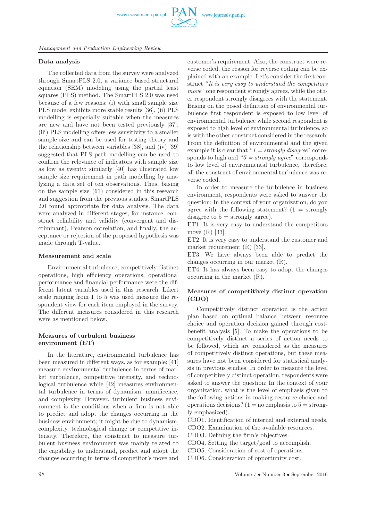

#### **Data analysis**

The collected data from the survey were analyzed through SmartPLS 2.0, a variance based structural equation (SEM) modeling using the partial least squares (PLS) method. The SmartPLS 2.0 was used because of a few reasons: (i) with small sample size PLS model exhibits more stable results [36], (ii) PLS modelling is especially suitable when the measures are new and have not been tested previously [37], (iii) PLS modelling offers less sensitivity to a smaller sample size and can be used for testing theory and the relationship between variables [38], and (iv) [39] suggested that PLS path modelling can be used to confirm the relevance of indicators with sample size as low as twenty; similarly [40] has illustrated low sample size requirement in path modelling by analyzing a data set of ten observations. Thus, basing on the sample size (61) considered in this research and suggestion from the previous studies, SmartPLS 2.0 found appropriate for data analysis. The data were analyzed in different stages, for instance: construct reliability and validity (convergent and discriminant), Pearson correlation, and finally, the acceptance or rejection of the proposed hypothesis was made through T-value.

#### **Measurement and scale**

Environmental turbulence, competitively distinct operations, high efficiency operations, operational performance and financial performance were the different latent variables used in this research. Likert scale ranging from 1 to 5 was used measure the respondent view for each item employed in the survey. The different measures considered in this research were as mentioned below.

# **Measures of turbulent business environment (ET)**

In the literature, environmental turbulence has been measured in different ways, as for example: [41] measure environmental turbulence in terms of market turbulence, competitive intensity, and technological turbulence while [42] measures environmental turbulence in terms of dynamism, munificence, and complexity. However, turbulent business environment is the conditions when a firm is not able to predict and adopt the changes occurring in the business environment; it might be due to dynamism, complexity, technological change or competitive intensity. Therefore, the construct to measure turbulent business environment was mainly related to the capability to understand, predict and adopt the changes occurring in terms of competitor's move and

customer's requirement. Also, the construct were reverse coded, the reason for reverse coding can be explained with an example. Let's consider the first construct "*It is very easy to understand the competitors move*" one respondent strongly agrees, while the other respondent strongly disagrees with the statement. Basing on the posed definition of environmental turbulence first respondent is exposed to low level of environmental turbulence while second respondent is exposed to high level of environmental turbulence, so is with the other construct considered in the research. From the definition of environmental and the given example it is clear that "*1 = strongly disagree*" corresponds to high and "*5 = strongly agree*" corresponds to low level of environmental turbulence, therefore, all the construct of environmental turbulence was reverse coded.

In order to measure the turbulence in business environment, respondents were asked to answer the question: In the context of your organization, do you agree with the following statement?  $(1 =$  strongly disagree to  $5 =$  strongly agree).

ET1. It is very easy to understand the competitors move (R) [33].

ET2. It is very easy to understand the customer and market requirement (R) [33].

ET3. We have always been able to predict the changes occurring in our market (R).

ET4. It has always been easy to adopt the changes occurring in the market (R).

# **Measures of competitively distinct operation (CDO)**

Competitively distinct operation is the action plan based on optimal balance between resource choice and operation decision gained through costbenefit analysis [5]. To make the operations to be competitively distinct a series of action needs to be followed, which are considered as the measures of competitively distinct operations, but these measures have not been considered for statistical analysis in previous studies. In order to measure the level of competitively distinct operation, respondents were asked to answer the question: In the context of your organization, what is the level of emphasis given to the following actions in making resource choice and operations decisions?  $(1 = no$  emphasis to  $5 = strong$ ly emphasized).

CDO1. Identification of internal and external needs.

CDO2. Examination of the available resources.

CDO3. Defining the firm's objectives.

CDO4. Setting the target/goal to accomplish.

CDO5. Consideration of cost of operations.

CDO6. Consideration of opportunity cost.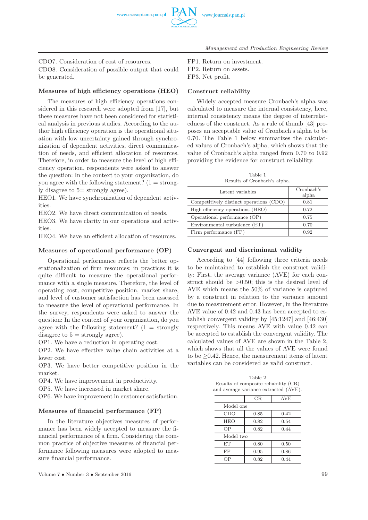

CDO7. Consideration of cost of resources.

CDO8. Consideration of possible output that could be generated.

# **Measures of high efficiency operations (HEO)**

The measures of high efficiency operations considered in this research were adopted from [17], but these measures have not been considered for statistical analysis in previous studies. According to the author high efficiency operation is the operational situation with low uncertainty gained through synchronization of dependent activities, direct communication of needs, and efficient allocation of resources. Therefore, in order to measure the level of high efficiency operation, respondents were asked to answer the question: In the context to your organization, do you agree with the following statement?  $(1 = \text{strong} - \text{strong} - \text{strong} - \text{strong} - \text{strong} - \text{off} - \text{strong} - \text{off} - \text{off} - \text{off} - \text{off} - \text{off} - \text{off} - \text{off} - \text{off} - \text{off} - \text{off} - \text{off} - \text{off} - \text{off} - \text{off} - \text{off} - \text{off} - \text{off} - \text{off} - \text{off} - \text{off} - \text{off} - \text{off} - \text{$ ly disagree to 5= strongly agree).

HEO1. We have synchronization of dependent activities.

HEO2. We have direct communication of needs.

HEO3. We have clarity in our operations and activities.

HEO4. We have an efficient allocation of resources.

#### **Measures of operational performance (OP)**

Operational performance reflects the better operationalization of firm resources; in practices it is quite difficult to measure the operational performance with a single measure. Therefore, the level of operating cost, competitive position, market share, and level of customer satisfaction has been assessed to measure the level of operational performance. In the survey, respondents were asked to answer the question: In the context of your organization, do you agree with the following statement?  $(1 =$  strongly disagree to  $5 =$  strongly agree).

OP1. We have a reduction in operating cost.

OP2. We have effective value chain activities at a lower cost.

OP3. We have better competitive position in the market.

OP4. We have improvement in productivity.

OP5. We have increased in market share.

OP6. We have improvement in customer satisfaction.

# **Measures of financial performance (FP)**

In the literature objectives measures of performance has been widely accepted to measure the financial performance of a firm. Considering the common practice of objective measures of financial performance following measures were adopted to measure financial performance.

FP1. Return on investment.

FP2. Return on assets.

FP3. Net profit.

#### **Construct reliability**

Widely accepted measure Cronbach's alpha was calculated to measure the internal consistency, here, internal consistency means the degree of interrelatedness of the construct. As a rule of thumb [43] proposes an acceptable value of Cronbach's alpha to be 0.70. The Table 1 below summarizes the calculated values of Cronbach's alpha, which shows that the value of Cronbach's alpha ranged from 0.70 to 0.92 providing the evidence for construct reliability.

Table 1 Results of Cronbach's alpha.

| Latent variables                        | Cronbach's<br>alpha |
|-----------------------------------------|---------------------|
| Competitively distinct operations (CDO) | 0.81                |
| High efficiency operations (HEO)        | 0.72                |
| Operational performance (OP)            | 0.75                |
| Environmental turbulence (ET)           | 0.70                |
| Firm performance (FP)                   | 0.92                |
|                                         |                     |

### **Convergent and discriminant validity**

According to [44] following three criteria needs to be maintained to establish the construct validity: First, the average variance (AVE) for each construct should be  $>0.50$ ; this is the desired level of AVE which means the 50% of variance is captured by a construct in relation to the variance amount due to measurement error. However, in the literature AVE value of 0.42 and 0.43 has been accepted to establish convergent validity by [45:1247] and [46:430] respectively. This means AVE with value 0.42 can be accepted to establish the convergent validity. The calculated values of AVE are shown in the Table 2, which shows that all the values of AVE were found to be ≥0.42. Hence, the measurement items of latent variables can be considered as valid construct.

Table 2 Results of composite reliability (CR) and average variance extracted (AVE).

|            | $_{\rm CR}$ | AVE  |  |  |
|------------|-------------|------|--|--|
|            | Model one   |      |  |  |
| CDO        | 0.85        | 0.42 |  |  |
| <b>HEO</b> | 0.82        | 0.54 |  |  |
| OΡ         | 0.82        | 0.44 |  |  |
| Model two  |             |      |  |  |
| EТ         | 0.80        | 0.50 |  |  |
| FP         | 0.95        | 0.86 |  |  |
| NР         | 0.82        | 0.44 |  |  |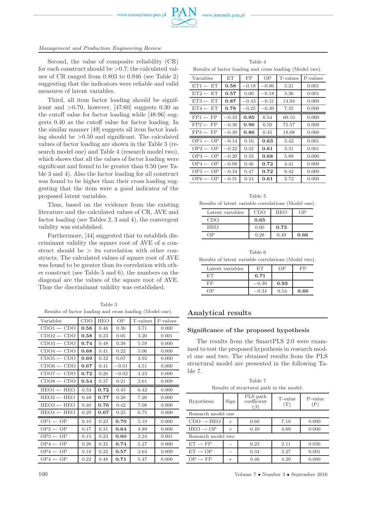www.czasopisma.pan.pl



#### *Management and Production Engineering Review*

Second, the value of composite reliability (CR) for each construct should be  $>0.7$ ; the calculated values of CR ranged from 0.803 to 0.946 (see Table 2) suggesting that the indicators were reliable and valid measures of latent variables.

Third, all item factor loading should be significant and  $>0.70$ , however, [47:60] suggests 0.30 as the cutoff value for factor loading while [48:96] suggests 0.40 as the cutoff value for factor loading. In the similar manner [49] suggests all item factor loading should be >0.50 and significant. The calculated values of factor loading are shown in the Table 3 (research model one) and Table 4 (research model two), which shows that all the values of factor loading were significant and found to be greater than 0.50 (see Table 3 and 4). Also the factor loading for all construct was found to be higher than their cross loading suggesting that the item were a good indicator of the proposed latent variables.

Thus, based on the evidence from the existing literature and the calculated values of CR, AVE and factor loading (see Tables 2, 3 and 4), the convergent validity was established.

Furthermore, [44] suggested that to establish discriminant validity the square root of AVE of a construct should be > its correlation with other constructs. The calculated values of square root of AVE was found to be greater than its correlation with other construct (see Table 5 and 6), the numbers on the diagonal are the values of the square root of AVE. Thus the discriminant validity was established.

Table 3 Results of factor loading and cross loading (Model one).

| resume of hereof following that or old following (fire and one). |      |            |         |          |          |  |  |
|------------------------------------------------------------------|------|------------|---------|----------|----------|--|--|
| Variables                                                        | CDO  | <b>HEO</b> | ΟP      | T-values | P-values |  |  |
| $CDO1 \leftarrow CDO$                                            | 0.56 | 0.46       | 0.36    | 3.71     | 0.000    |  |  |
| $CDO2 \leftarrow CDO$                                            | 0.58 | 0.23       | 0.05    | 3.20     | 0.001    |  |  |
| $CDO3 \leftarrow CDO$                                            | 0.74 | 0.48       | 0.38    | 5.59     | 0.000    |  |  |
| $CDO4 \leftarrow CDO$                                            | 0.68 | 0.41       | 0.22    | 5.06     | 0.000    |  |  |
| $CDO5 \leftarrow CDO$                                            | 0.69 | 0.32       | 0.07    | 3.92     | 0.000    |  |  |
| $CDO6 \leftarrow CDO$                                            | 0.67 | 0.41       | $-0.01$ | 4.51     | 0.000    |  |  |
| $CDO7 \leftarrow CDO$                                            | 0.72 | 0.26       | $-0.02$ | 4.23     | 0.000    |  |  |
| $CDO8 \leftarrow CDO$                                            | 0.54 | 0.37       | 0.21    | 2.61     | 0.009    |  |  |
| $HEO1 \leftarrow HEO$                                            | 0.53 | 0.72       | 0.45    | 6.42     | 0.000    |  |  |
| $HEO2 \leftarrow HEO$                                            | 0.48 | 0.77       | 0.28    | 7.20     | 0.000    |  |  |
| $HEO3 \leftarrow HEO$                                            | 0.40 | 0.76       | 0.42    | 7.08     | 0.000    |  |  |
| $HEO4 \leftarrow HEO$                                            | 0.29 | 0.67       | 0.25    | 6.75     | 0.000    |  |  |
| $OP1 \leftarrow OP$                                              | 0.10 | 0.23       | 0.70    | 5.19     | 0.000    |  |  |
| $OP2 \leftarrow OP$                                              | 0.17 | 0.31       | 0.64    | 4.89     | 0.000    |  |  |
| $OP3 \leftarrow OP$                                              | 0.15 | 0.23       | 0.60    | 3.24     | 0.001    |  |  |
| $OP4 \leftarrow OP$                                              | 0.26 | 0.35       | 0.74    | 5.27     | 0.000    |  |  |
| $OP4 \leftarrow OP$                                              | 0.18 | 0.22       | 0.57    | 2.64     | 0.009    |  |  |
| $OP4 \leftarrow OP$                                              | 0.22 | 0.48       | 0.71    | 5.47     | 0.000    |  |  |

| Results of factor loading and cross loading (Model two). |         |         |           |          |          |  |
|----------------------------------------------------------|---------|---------|-----------|----------|----------|--|
| Variables                                                | ET      | FP      | <b>OP</b> | T-values | P-values |  |
| $ET1 \leftarrow ET$                                      | 0.58    | $-0.18$ | $-0.06$   | 3.21     | 0.001    |  |
| $ET2 \leftarrow ET$                                      | 0.57    | 0.00    | $-0.18$   | 3.36     | 0.001    |  |
| $ET3 \leftarrow ET$                                      | 0.87    | $-0.43$ | $-0.31$   | 14.94    | 0.000    |  |
| $ET4 \leftarrow ET$                                      | 0.78    | $-0.25$ | $-0.30$   | 7.35     | 0.000    |  |
| $FP1 \leftarrow FP$                                      | $-0.33$ | 0.95    | 0.54      | 60.10    | 0.000    |  |
| $FP2 \leftarrow FP$                                      | $-0.36$ | 0.96    | 0.50      | 75.57    | 0.000    |  |
| $FP3 \leftarrow FP$                                      | $-0.39$ | 0.86    | 0.45      | 18.08    | 0.000    |  |
| $OP1 \leftarrow OP$                                      | $-0.14$ | 0.16    | 0.63      | 3.42     | 0.001    |  |
| $OP2 \leftarrow OP$                                      | $-0.22$ | 0.32    | 0.61      | 3.31     | 0.001    |  |
| $OP3 \leftarrow OP$                                      | $-0.20$ | 0.33    | 0.68      | 5.88     | 0.000    |  |
| $OP4 \leftarrow OP$                                      | $-0.08$ | 0.46    | 0.72      | 4.41     | 0.000    |  |
| $OP5 \leftarrow OP$                                      | $-0.34$ | 0.47    | 0.72      | 8.42     | 0.000    |  |
| $OP6 \leftarrow OP$                                      | $-0.31$ | 0.24    | 0.61      | 3.72     | 0.000    |  |

Table 5 Results of latent variable correlations (Model one).

| Latent variables | CDO. | <b>HEO</b> | ЭP   |
|------------------|------|------------|------|
| CDO              | 0.65 |            |      |
| <b>HEO</b>       | 0.60 | 0.73       |      |
| ΩP               | 0.28 | 0.49       | 0.66 |

Table 6 Results of latent variable correlations (Model two).

| Latent variables | EТ      |      |      |
|------------------|---------|------|------|
| EТ               | 0.71    |      |      |
| FP               | $-0.39$ | 0.93 |      |
|                  | $-0.34$ | 0.54 | 0.66 |

# **Analytical results**

# **Significance of the proposed hypothesis**

The results from the SmartPLS 2.0 were examined to test the proposed hypothesis in research model one and two. The obtained results from the PLS structural model are presented in the following Table 7.

| Table 7 |  |                                          |  |  |  |  |
|---------|--|------------------------------------------|--|--|--|--|
|         |  | Results of structural path in the model. |  |  |  |  |

| Hypothesis            | Sign | PLS path<br>coefficient<br>$(\beta)$ | T-value<br>(T) | P-value<br>(P) |  |  |  |
|-----------------------|------|--------------------------------------|----------------|----------------|--|--|--|
| Research model one    |      |                                      |                |                |  |  |  |
| $CDO \rightarrow HEO$ | $^+$ | 0.60                                 | 7.10           | 0.000          |  |  |  |
| $HEO \rightarrow OP$  | $^+$ | 0.49                                 | 4.69           | 0.000          |  |  |  |
| Research model two    |      |                                      |                |                |  |  |  |
| $ET \rightarrow FP$   |      | 0.23                                 | 2.11           | 0.036          |  |  |  |
| $ET \rightarrow OP$   |      | 0.34                                 | 3.27           | 0.001          |  |  |  |
| $\rightarrow$ FP      |      | 0.46                                 | 4.29           | 0.000          |  |  |  |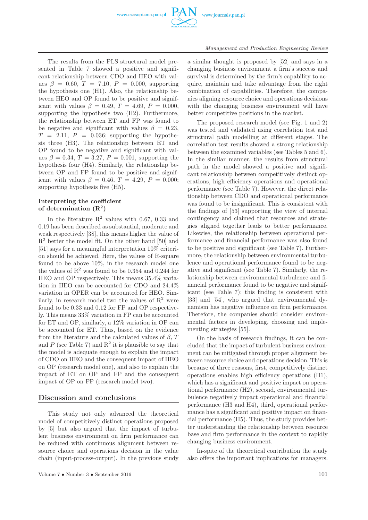

The results from the PLS structural model presented in Table 7 showed a positive and significant relationship between CDO and HEO with values  $\beta = 0.60, T = 7.10, P = 0.000,$  supporting the hypothesis one (H1). Also, the relationship between HEO and OP found to be positive and significant with values  $\beta = 0.49, T = 4.69, P = 0.000,$ supporting the hypothesis two (H2). Furthermore, the relationship between ET and FP was found to be negative and significant with values  $\beta = 0.23$ ,  $T = 2.11, P = 0.036$ ; supporting the hypothesis three (H3). The relationship between ET and OP found to be negative and significant with values  $\beta = 0.34, T = 3.27, P = 0.001$ , supporting the hypothesis four (H4). Similarly, the relationship between OP and FP found to be positive and significant with values  $\beta = 0.46, T = 4.29, P = 0.000;$ supporting hypothesis five (H5).

# **Interpreting the coefficient** of determination  $(R^2)$

In the literature  $\mathbb{R}^2$  values with 0.67, 0.33 and 0.19 has been described as substantial, moderate and weak respectively [38], this means higher the value of  $R<sup>2</sup>$  better the model fit. On the other hand [50] and [51] says for a meaningful interpretation 10% criterion should be achieved. Here, the values of R-square found to be above 10%, in the research model one the values of  $\mathbb{R}^2$  was found to be 0.354 and 0.244 for HEO and OP respectively. This means 35.4% variation in HEO can be accounted for CDO and 24.4% variation in OPER can be accounted for HEO. Similarly, in research model two the values of  $\mathbb{R}^2$  were found to be 0.33 and 0.12 for FP and OP respectively. This means 33% variation in FP can be accounted for ET and OP, similarly, a 12% variation in OP can be accounted for ET. Thus, based on the evidence from the literature and the calculated values of  $\beta$ , T and  $P$  (see Table 7) and  $R^2$  it is plausible to say that the model is adequate enough to explain the impact of CDO on HEO and the consequent impact of HEO on OP (research model one), and also to explain the impact of ET on OP and FP and the consequent impact of OP on FP (research model two).

# **Discussion and conclusions**

This study not only advanced the theoretical model of competitively distinct operations proposed by [5] but also argued that the impact of turbulent business environment on firm performance can be reduced with continuous alignment between resource choice and operations decision in the value chain (input-process-output). In the previous study

a similar thought is proposed by [52] and says in a changing business environment a firm's success and survival is determined by the firm's capability to acquire, maintain and take advantage from the right combination of capabilities. Therefore, the companies aligning resource choice and operations decisions with the changing business environment will have better competitive positions in the market.

The proposed research model (see Fig. 1 and 2) was tested and validated using correlation test and structural path modelling at different stages. The correlation test results showed a strong relationship between the examined variables (see Tables 5 and 6). In the similar manner, the results from structural path in the model showed a positive and significant relationship between competitively distinct operations, high efficiency operations and operational performance (see Table 7). However, the direct relationship between CDO and operational performance was found to be insignificant. This is consistent with the findings of [53] supporting the view of internal contingency and claimed that resources and strategies aligned together leads to better performance. Likewise, the relationship between operational performance and financial performance was also found to be positive and significant (see Table 7). Furthermore, the relationship between environmental turbulence and operational performance found to be negative and significant (see Table 7). Similarly, the relationship between environmental turbulence and financial performance found to be negative and significant (see Table 7); this finding is consistent with [33] and [54], who argued that environmental dynamism has negative influence on firm performance. Therefore, the companies should consider environmental factors in developing, choosing and implementing strategies [55].

On the basis of research findings, it can be concluded that the impact of turbulent business environment can be mitigated through proper alignment between resource choice and operations decision. This is because of three reasons, first, competitively distinct operations enables high efficiency operations (H1), which has a significant and positive impact on operational performance (H2), second, environmental turbulence negatively impact operational and financial performance (H3 and H4), third, operational performance has a significant and positive impact on financial performance (H5). Thus, the study provides better understanding the relationship between resource base and firm performance in the context to rapidly changing business environment.

In-spite of the theoretical contribution the study also offers the important implications for managers.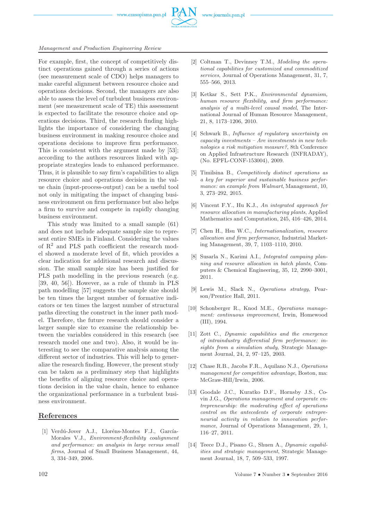www.czasopisma.pan.pl

# *Management and Production Engineering Review*

For example, first, the concept of competitively distinct operations gained through a series of actions (see measurement scale of CDO) helps managers to make careful alignment between resource choice and operations decisions. Second, the managers are also able to assess the level of turbulent business environment (see measurement scale of TE) this assessment is expected to facilitate the resource choice and operations decisions. Third, the research finding highlights the importance of considering the changing business environment in making resource choice and operations decisions to improve firm performance. This is consistent with the argument made by [53]; according to the authors resources linked with appropriate strategies leads to enhanced performance. Thus, it is plausible to say firm's capabilities to align resource choice and operations decision in the value chain (input-process-output) can be a useful tool not only in mitigating the impact of changing business environment on firm performance but also helps a firm to survive and compete in rapidly changing business environment.

This study was limited to a small sample (61) and does not include adequate sample size to represent entire SMEs in Finland. Considering the values of  $\mathbb{R}^2$  and PLS path coefficient the research model showed a moderate level of fit, which provides a clear indication for additional research and discussion. The small sample size has been justified for PLS path modelling in the previous research (e.g. [39, 40, 56]). However, as a rule of thumb in PLS path modelling [57] suggests the sample size should be ten times the largest number of formative indicators or ten times the largest number of structural paths directing the construct in the inner path model. Therefore, the future research should consider a larger sample size to examine the relationship between the variables considered in this research (see research model one and two). Also, it would be interesting to see the comparative analysis among the different sector of industries. This will help to generalize the research finding. However, the present study can be taken as a preliminary step that highlights the benefits of aligning resource choice and operations decision in the value chain, hence to enhance the organizational performance in a turbulent business environment.

# **References**

[1] Verdú-Jover A.J., Lloréns-Montes F.J., García-Morales V.J., *Environment-flexibility coalignment and performance: an analysis in large versus small firms*, Journal of Small Business Management, 44, 3, 334–349, 2006.

- [2] Coltman T., Devinney T.M., *Modeling the operational capabilities for customized and commoditized services*, Journal of Operations Management, 31, 7, 555–566, 2013.
- [3] Ketkar S., Sett P.K., *Environmental dynamism, human resource flexibility, and firm performance: analysis of a multi-level causal model*, The International Journal of Human Resource Management, 21, 8, 1173–1206, 2010.
- [4] Schwark B., *Influence of regulatory uncertainty on capacity investments – Are investments in new technologies a risk mitigation measure?*, 8th Conference on Applied Infrastructure Research (INFRADAY), (No. EPFL-CONF-153004), 2009.
- [5] Timilsina B., *Competitively distinct operations as a key for superior and sustainable business performance: an example from Walmart*, Management, 10, 3, 273–292, 2015.
- [6] Vincent F.Y., Hu K.J., *An integrated approach for resource allocation in manufacturing plants*, Applied Mathematics and Computation, 245, 416–426, 2014.
- [7] Chen H., Hsu W.C., *Internationalization, resource allocation and firm performance*, Industrial Marketing Management, 39, 7, 1103–1110, 2010.
- [8] Susarla N., Karimi A.I., *Integrated campaing planning and resource allocation in batch plants*, Computers & Chemical Engineering, 35, 12, 2990–3001, 2011.
- [9] Lewis M., Slack N., *Operations strategy*, Pearson/Prentice Hall, 2011.
- [10] Schonberger R., Knod M.E., *Operations management: continuous improvement*, Irwin, Homewood (III), 1994.
- [11] Zott C., *Dynamic capabilities and the emergence of intraindustry differential firm performance: insights from a simulation study*, Strategic Management Journal, 24, 2, 97–125, 2003.
- [12] Chase R.B., Jacobs F.R., Aquilano N.J., *Operations management for competitive advantage*, Boston, ma: McGraw-Hill/Irwin, 2006.
- [13] Goodale J.C., Kuratko D.F., Hornsby J.S., Covin J.G., *Operations management and corporate entrepreneurship: the moderating effect of operations control on the antecedents of corporate entrepreneurial activity in relation to innovation performance*, Journal of Operations Management, 29, 1, 116–27, 2011.
- [14] Teece D.J., Pisano G., Shuen A., *Dynamic capabilities and strategic management*, Strategic Management Journal, 18, 7, 509–533, 1997.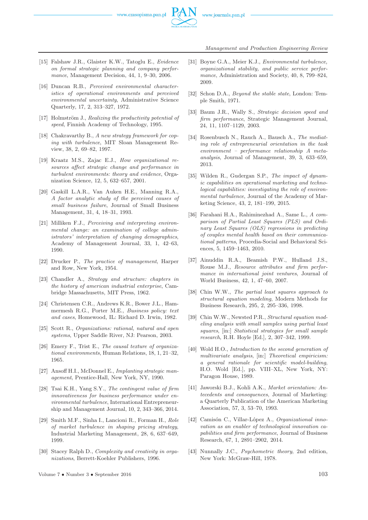

- [15] Falshaw J.R., Glaister K.W., Tatoglu E., *Evidence on formal strategic planning and company performance*, Management Decision, 44, 1, 9–30, 2006.
- [16] Duncan R.B., *Perceived environmental characteristics of operational environments and perceived environmental uncertainty*, Administrative Science Quarterly, 17, 2, 313–327, 1972.
- [17] Holmström J., *Realizing the productivity potential of speed*, Finnish Academy of Technology, 1995.
- [18] Chakravarthy B., *A new strategy framework for coping with turbulence*, MIT Sloan Management Review, 38, 2, 69–82, 1997.
- [19] Kraatz M.S., Zajac E.J., *How organizational resources affect strategic change and performance in turbulent environments: theory and evidence*, Organization Science, 12, 5, 632–657, 2001.
- [20] Gaskill L.A.R., Van Auken H.E., Manning R.A., *A factor analytic study of the perceived causes of small business failure*, Journal of Small Business Management, 31, 4, 18–31, 1993.
- [21] Milliken F.J., *Perceiving and interpreting environmental change: an examination of college administrators' interpretation of changing demographics*, Academy of Management Journal, 33, 1, 42–63, 1990.
- [22] Drucker P., *The practice of management*, Harper and Row, New York, 1954.
- [23] Chandler A., *Strategy and structure: chapters in the history of american industrial enterprise*, Cambridge Massachusetts, MIT Press, 1962.
- [24] Christensen C.R., Andrews K.R., Bower J.L., Hammermesh R.G., Porter M.E., *Business policy: text and cases*, Homewood, IL: Richard D. Irwin, 1982.
- [25] Scott R., *Organizations: rational, natural and open systems*, Upper Saddle River, NJ: Pearson, 2003.
- [26] Emery F., Trist E., *The causal texture of organizational environments*, Human Relations, 18, 1, 21–32, 1965.
- [27] Ansoff H.I., McDonnel E., *Implanting strategic management*, Prentice-Hall, New York, NY, 1990.
- [28] Tsai K.H., Yang S.Y., *The contingent value of firm innovativeness for business performance under environmental turbulence*, International Entrepreneurship and Management Journal, 10, 2, 343–366, 2014.
- [29] Smith M.F., Sinha I., Lancioni R., Forman H., *Role of market turbulence in shaping pricing strategy*, Industrial Marketing Management, 28, 6, 637–649, 1999.
- [30] Stacey Ralph D., *Complexity and creativity in organizations*, Berrett-Koehler Publishers, 1996.

Volume 7 • Number 3 • September 2016 103

- [31] Boyne G.A., Meier K.J., *Environmental turbulence, organizational stability, and public service performance*, Administration and Society, 40, 8, 799–824, 2009.
- [32] Schon D.A., *Beyond the stable state*, London: Temple Smith, 1971.
- [33] Baum J.R., Wally S., *Strategic decision speed and firm performance*, Strategic Management Journal, 24, 11, 1107–1129, 2003.
- [34] Rosenbusch N., Rauch A., Bausch A., *The mediating role of entrepreneurial orientation in the task environment – performance relationship A metaanalysis*, Journal of Management, 39, 3, 633–659, 2013.
- [35] Wilden R., Gudergan S.P., *The impact of dynamic capabilities on operational marketing and technological capabilities: investigating the role of environmental turbulence*, Journal of the Academy of Marketing Science, 43, 2, 181–199, 2015.
- [36] Farahani H.A., Rahiminezhad A., Same L., *A comparison of Partial Least Squares (PLS) and Ordinary Least Squares (OLS) regressions in predicting of couples mental health based on their communicational patterns*, Procedia-Social and Behavioral Sciences, 5, 1459–1463, 2010.
- [37] Ainuddin R.A., Beamish P.W., Hulland J.S., Rouse M.J., *Resource attributes and firm performance in international joint ventures*, Journal of World Business, 42, 1, 47–60, 2007.
- [38] Chin W.W., *The partial least squares approach to structural equation modeling*, Modern Methods for Business Research, 295, 2, 295–336, 1998.
- [39] Chin W.W., Newsted P.R., *Structural equation modeling analysis with small samples using partial least squares*, [in:] *Statistical strategies for small sample research*, R.H. Hoyle [Ed.], 2, 307–342, 1999.
- [40] Wold H.O., *Introduction to the second generation of multivariate analysis*, [in:] *Theoretical empiricism: a general rationale for scientific model-building*, H.O. Wold [Ed.], pp. VIII–XL, New York, NY: Paragon House, 1989.
- [41] Jaworski B.J., Kohli A.K., *Market orientation: Antecedents and consequences*, Journal of Marketing: a Quarterly Publication of the American Marketing Association, 57, 3, 53–70, 1993.
- [42] Camisón C., Villar-López A., *Organizational innovation as an enabler of technological innovation capabilities and firm performance*, Journal of Business Research, 67, 1, 2891–2902, 2014.
- [43] Nunnally J.C., *Psychometric theory*, 2nd edition, New York: McGraw-Hill, 1978.